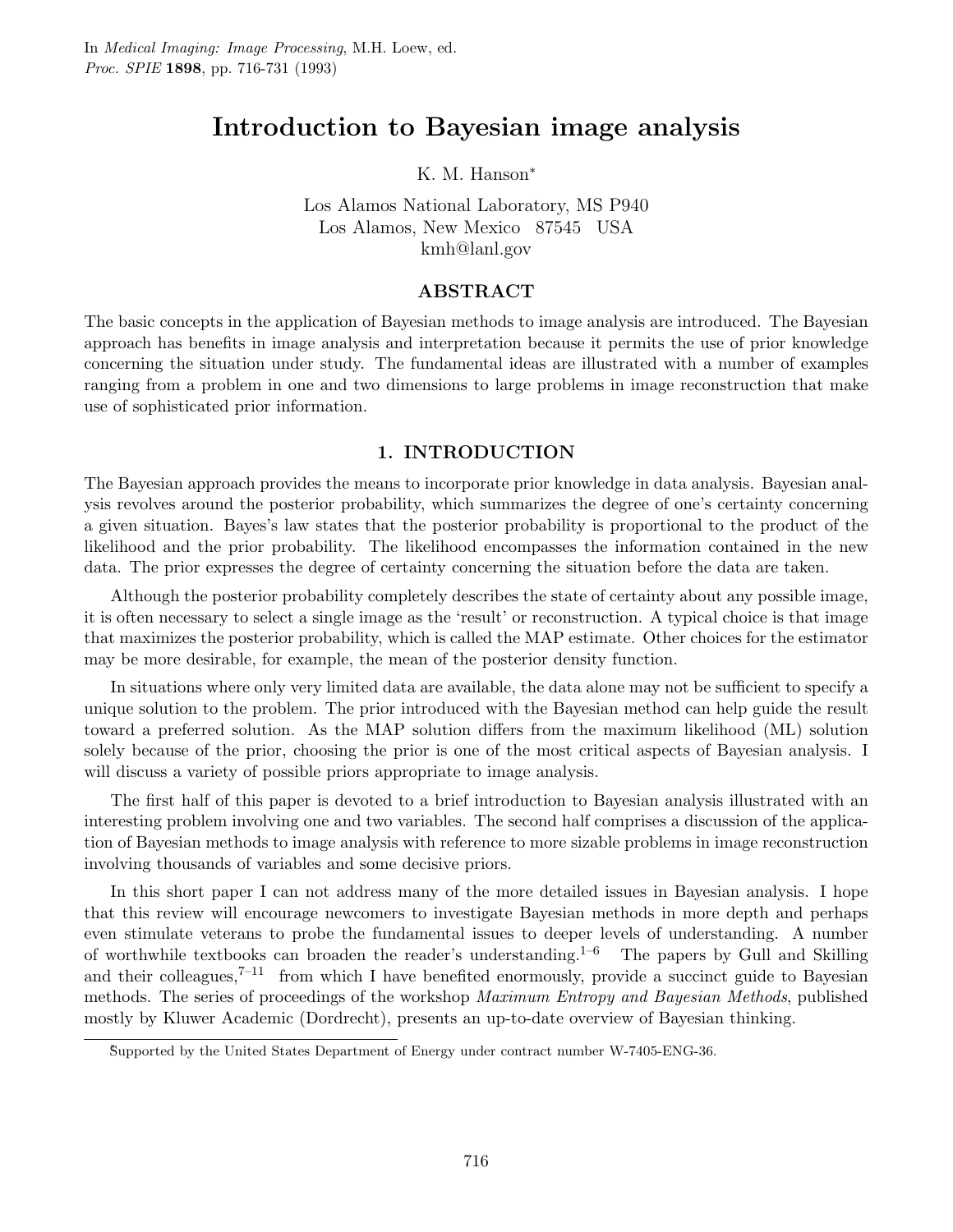# **Introduction to Bayesian image analysis**

K. M. Hanson<sup>∗</sup><br>Los Alamos National Laboratory, MS P940 Los Alamos, New Mexico 87545 USA kmh@lanl.gov kmh@lanl.gov

# **ABSTRACT**

The basic concepts in the application of Bayesian methods to image analysis are introduced. The Bayesian approach has benefits in image analysis and interpretation because it permits the use of prior knowledge concerning the situation under study. The fundamental ideas are illustrated with a number of examples ranging from a problem in one and two dimensions to large problems in image reconstruction that make use of sophisticated prior information.

## **1. INTRODUCTION**

The Bayesian approach provides the means to incorporate prior knowledge in data analysis. Bayesian analysis revolves around the posterior probability, which summarizes the degree of one's certainty concerning a given situation. Bayes's law states that the posterior probability is proportional to the product of the likelihood and the prior probability. The likelihood encompasses the information contained in the new data. The prior expresses the degree of certainty concerning the situation before the data are taken.

Although the posterior probability completely describes the state of certainty about any possible image, it is often necessaryto select a single image as the 'result' or reconstruction. A typical choice is that image that maximizes the posterior probability, which is called the MAP estimate. Other choices for the estimator may be more desirable, for example, the mean of the posterior density function.

In situations where only very limited data are available, the data alone may not be sufficient to specify a unique solution to the problem. The prior introduced with the Bayesian method can help guide the result toward a preferred solution. As the MAP solution differs from the maximum likelihood (ML) solution solely because of the prior, choosing the prior is one of the most critical aspects of Bayesian analysis. I will discuss a variety of possible priors appropriate to image analysis.

The first half of this paper is devoted to a brief introduction to Bayesian analysis illustrated with an interesting problem involving one and two variables. The second half comprises a discussion of the application of Bayesian methods to image analysis with reference to more sizable problems in image reconstruction involving thousands of variables and some decisive priors.

In this short paper I can not address manyof the more detailed issues in Bayesian analysis. I hope that this review will encourage newcomers to investigate Bayesian methods in more depth and perhaps even stimulate veterans to probe the fundamental issues to deeper levels of understanding. A number of worthwhile textbooks can broaden the reader's understanding.<sup>1–6</sup> The papers by Gull and Skilling and their colleagues,<sup> $7-11$ </sup> from which I have benefited enormously, provide a succinct guide to Bayesian methods. The series of proceedings of the workshop *Maximum Entropy and Bayesian Methods*, published mostly by Kluwer Academic (Dordrecht), presents an up-to-date overview of Bayesian thinking.

<sup>∗</sup> Supported by the United States Department of Energy under contract number W-7405-ENG-36.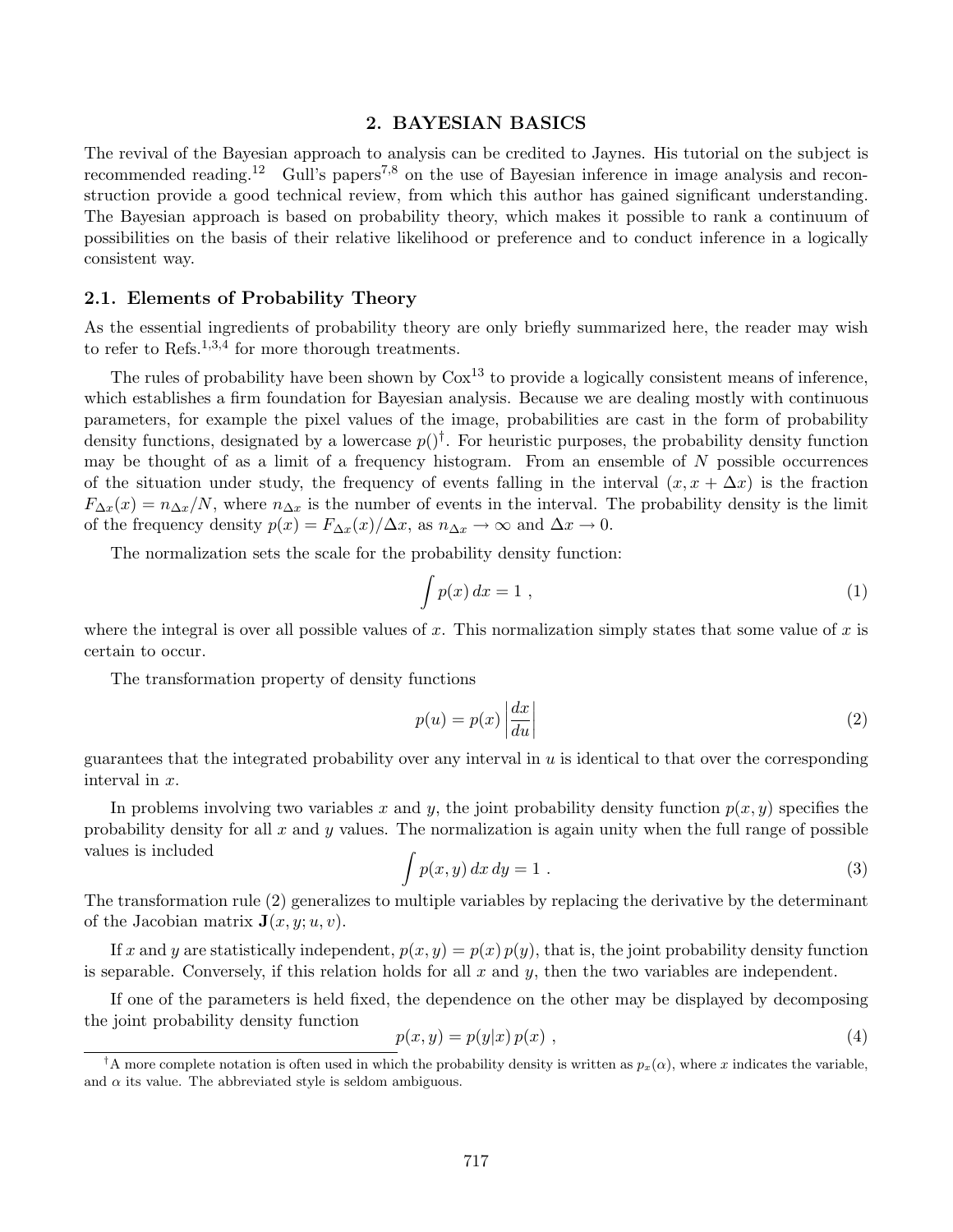## **2. BAYESIAN BASICS**

The revival of the Bayesian approach to analysis can be credited to Jaynes. His tutorial on the subject is recommended reading.<sup>12</sup> Gull's papers<sup>7,8</sup> on the use of Bayesian inference in image analysis and reconstruction provide a good technical review, from which this author has gained significant understanding. The Bayesian approach is based on probability theory, which makes it possible to rank a continuum of possibilities on the basis of their relative likelihood or preference and to conduct inference in a logically consistent way.

## **2.1. Elements of Probability Theory**

As the essential ingredients of probability theory are only briefly summarized here, the reader may wish to refer to Refs.<sup>1,3,4</sup> for more thorough treatments.

The rules of probability have been shown by  $\text{Cox}^{13}$  to provide a logically consistent means of inference, which establishes a firm foundation for Bayesian analysis. Because we are dealing mostly with continuous parameters, for example the pixel values of the image, probabilities are cast in the form of probability density functions, designated by a lowercase  $p()^{\dagger}$ . For heuristic purposes, the probability density function may be thought of as a limit of a frequency histogram. From an ensemble of  $N$  possible occurrences of the situation under study, the frequency of events falling in the interval  $(x, x + \Delta x)$  is the fraction  $F_{\Delta x}(x) = n_{\Delta x}/N$ , where  $n_{\Delta x}$  is the number of events in the interval. The probability density is the limit of the frequency density  $p(x) = F_{\Delta x}(x)/\Delta x$ , as  $n_{\Delta x} \to \infty$  and  $\Delta x \to 0$ .

The normalization sets the scale for the probability density function:

$$
\int p(x) dx = 1 , \qquad (1)
$$

where the integral is over all possible values of x. This normalization simply states that some value of x is certain to occur.

The transformation property of density functions

$$
p(u) = p(x) \left| \frac{dx}{du} \right| \tag{2}
$$

guarantees that the integrated probability over any interval in  $u$  is identical to that over the corresponding interval in x.

In problems involving two variables x and y, the joint probability density function  $p(x, y)$  specifies the probability density for all  $x$  and  $y$  values. The normalization is again unity when the full range of possible values is included

$$
\int p(x, y) dx dy = 1.
$$
\n(3)

The transformation rule (2) generalizes to multiple variables by replacing the derivative by the determinant of the Jacobian matrix  $\mathbf{J}(x, y; u, v)$ .

If x and y are statistically independent,  $p(x, y) = p(x) p(y)$ , that is, the joint probability density function is separable. Conversely, if this relation holds for all  $x$  and  $y$ , then the two variables are independent.

If one of the parameters is held fixed, the dependence on the other maybe displayed bydecomposing the joint probability density function

$$
p(x,y) = p(y|x) p(x) , \qquad (4)
$$

<sup>&</sup>lt;sup>†</sup>A more complete notation is often used in which the probability density is written as  $p_x(\alpha)$ , where x indicates the variable, and  $\alpha$  its value. The abbreviated style is seldom ambiguous.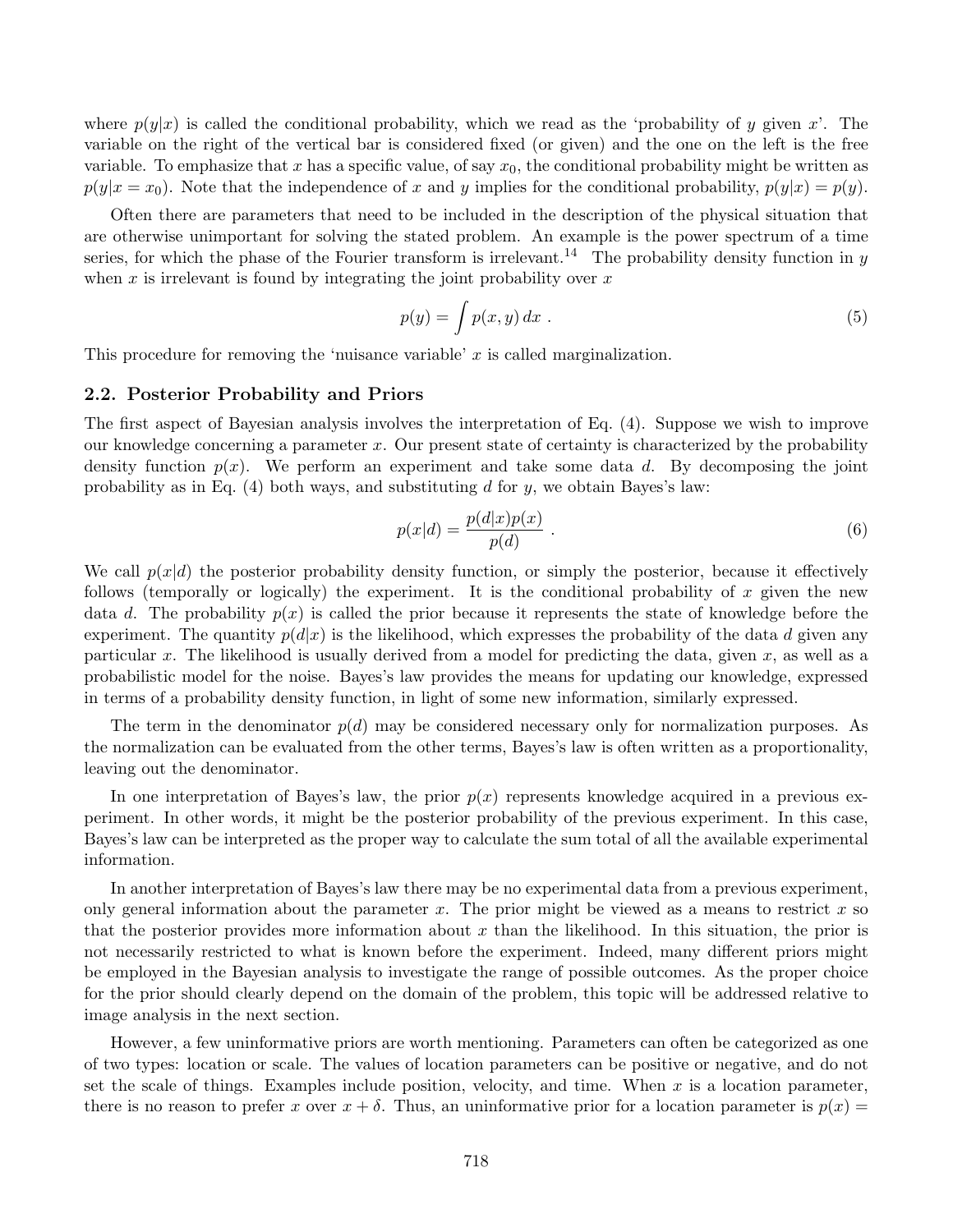where  $p(y|x)$  is called the conditional probability, which we read as the 'probability of y given x'. The variable on the right of the vertical bar is considered fixed (or given) and the one on the left is the free variable. To emphasize that x has a specific value, of say  $x_0$ , the conditional probability might be written as  $p(y|x = x_0)$ . Note that the independence of x and y implies for the conditional probability,  $p(y|x) = p(y)$ .

Often there are parameters that need to be included in the description of the physical situation that are otherwise unimportant for solving the stated problem. An example is the power spectrum of a time series, for which the phase of the Fourier transform is irrelevant.<sup>14</sup> The probability density function in y when x is irrelevant is found by integrating the joint probability over  $x$ 

$$
p(y) = \int p(x, y) dx . \tag{5}
$$

This procedure for removing the 'nuisance variable'  $x$  is called marginalization.

## **2.2. Posterior Probability and Priors**

The first aspect of Bayesian analysis involves the interpretation of Eq. (4). Suppose we wish to improve our knowledge concerning a parameter  $x$ . Our present state of certainty is characterized by the probability density function  $p(x)$ . We perform an experiment and take some data d. By decomposing the joint probability as in Eq. (4) both ways, and substituting d for  $y$ , we obtain Bayes's law:

$$
p(x|d) = \frac{p(d|x)p(x)}{p(d)}.
$$
\n
$$
(6)
$$

We call  $p(x|d)$  the posterior probability density function, or simply the posterior, because it effectively follows (temporally or logically) the experiment. It is the conditional probability of x given the new data d. The probability  $p(x)$  is called the prior because it represents the state of knowledge before the experiment. The quantity  $p(d|x)$  is the likelihood, which expresses the probability of the data d given any particular x. The likelihood is usually derived from a model for predicting the data, given  $x$ , as well as a probabilistic model for the noise. Bayes's law provides the means for updating our knowledge, expressed in terms of a probability density function, in light of some new information, similarly expressed.

The term in the denominator  $p(d)$  may be considered necessary only for normalization purposes. As the normalization can be evaluated from the other terms, Bayes's law is often written as a proportionality, leaving out the denominator.

In one interpretation of Bayes's law, the prior  $p(x)$  represents knowledge acquired in a previous experiment. In other words, it might be the posterior probabilityof the previous experiment. In this case, Bayes's law can be interpreted as the proper way to calculate the sum total of all the available experimental information.

In another interpretation of Bayes's law there may be no experimental data from a previous experiment, only general information about the parameter x. The prior might be viewed as a means to restrict x so that the posterior provides more information about  $x$  than the likelihood. In this situation, the prior is not necessarily restricted to what is known before the experiment. Indeed, many different priors might be employed in the Bayesian analysis to investigate the range of possible outcomes. As the proper choice for the prior should clearly depend on the domain of the problem, this topic will be addressed relative to image analysis in the next section.

However, a few uninformative priors are worth mentioning. Parameters can often be categorized as one of two types: location or scale. The values of location parameters can be positive or negative, and do not set the scale of things. Examples include position, velocity, and time. When  $x$  is a location parameter, there is no reason to prefer x over  $x + \delta$ . Thus, an uninformative prior for a location parameter is  $p(x) =$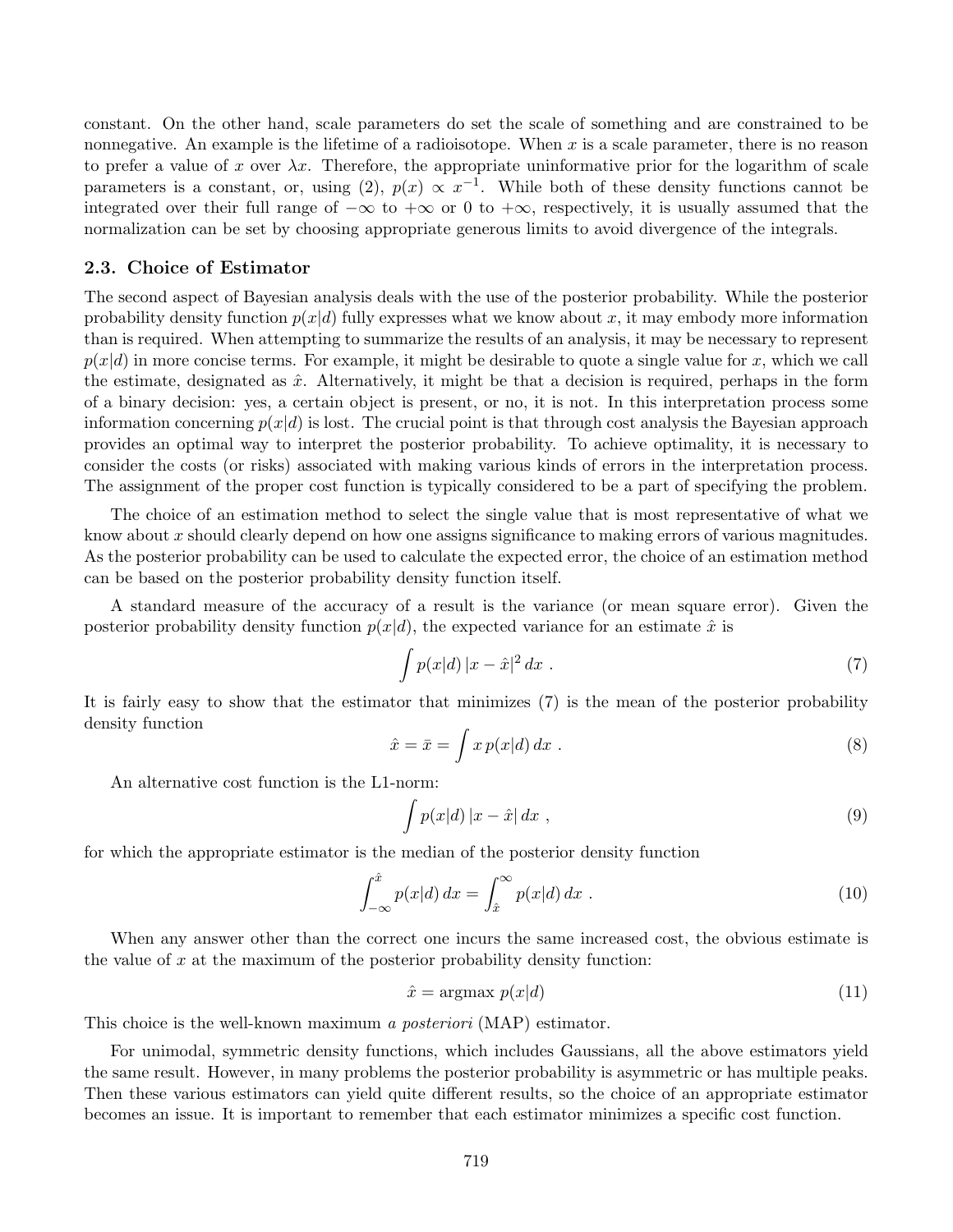constant. On the other hand, scale parameters do set the scale of something and are constrained to be nonnegative. An example is the lifetime of a radioisotope. When  $x$  is a scale parameter, there is no reason to prefer a value of x over  $\lambda x$ . Therefore, the appropriate uninformative prior for the logarithm of scale parameters is a constant, or, using (2),  $p(x) \propto x^{-1}$ . While both of these density functions cannot be integrated over their full range of  $-\infty$  to  $+\infty$  or 0 to  $+\infty$ , respectively, it is usually assumed that the normalization can be set by choosing appropriate generous limits to avoid divergence of the integrals.

## **2.3.** Choice of Estimator

The second aspect of Bayesian analysis deals with the use of the posterior probability. While the posterior probability density function  $p(x|d)$  fully expresses what we know about x, it may embody more information than is required. When attempting to summarize the results of an analysis, it may be necessary to represent  $p(x|d)$  in more concise terms. For example, it might be desirable to quote a single value for x, which we call the estimate, designated as  $\hat{x}$ . Alternatively, it might be that a decision is required, perhaps in the form of a binarydecision: yes, a certain object is present, or no, it is not. In this interpretation process some information concerning  $p(x|d)$  is lost. The crucial point is that through cost analysis the Bayesian approach provides an optimal way to interpret the posterior probability. To achieve optimality, it is necessary to consider the costs (or risks) associated with making various kinds of errors in the interpretation process. The assignment of the proper cost function is typically considered to be a part of specifying the problem.

The choice of an estimation method to select the single value that is most representative of what we know about x should clearly depend on how one assigns significance to making errors of various magnitudes. As the posterior probability can be used to calculate the expected error, the choice of an estimation method can be based on the posterior probability density function itself.

A standard measure of the accuracyof a result is the variance (or mean square error). Given the posterior probability density function  $p(x|d)$ , the expected variance for an estimate  $\hat{x}$  is

$$
\int p(x|d) |x - \hat{x}|^2 dx . \tag{7}
$$

It is fairly easy to show that the estimator that minimizes (7) is the mean of the posterior probability density function

$$
\hat{x} = \bar{x} = \int x p(x|d) dx . \tag{8}
$$

An alternative cost function is the L1-norm:

$$
\int p(x|d) |x - \hat{x}| dx , \qquad (9)
$$

for which the appropriate estimator is the median of the posterior density function

$$
\int_{-\infty}^{\hat{x}} p(x|d) dx = \int_{\hat{x}}^{\infty} p(x|d) dx . \qquad (10)
$$

When any answer other than the correct one incurs the same increased cost, the obvious estimate is the value of  $x$  at the maximum of the posterior probability density function:

$$
\hat{x} = \operatorname{argmax} \, p(x|d) \tag{11}
$$

This choice is the well-known maximum *a posteriori* (MAP) estimator.

For unimodal, symmetric density functions, which includes Gaussians, all the above estimators yield the same result. However, in many problems the posterior probability is asymmetric or has multiple peaks. Then these various estimators can yield quite different results, so the choice of an appropriate estimator becomes an issue. It is important to remember that each estimator minimizes a specific cost function.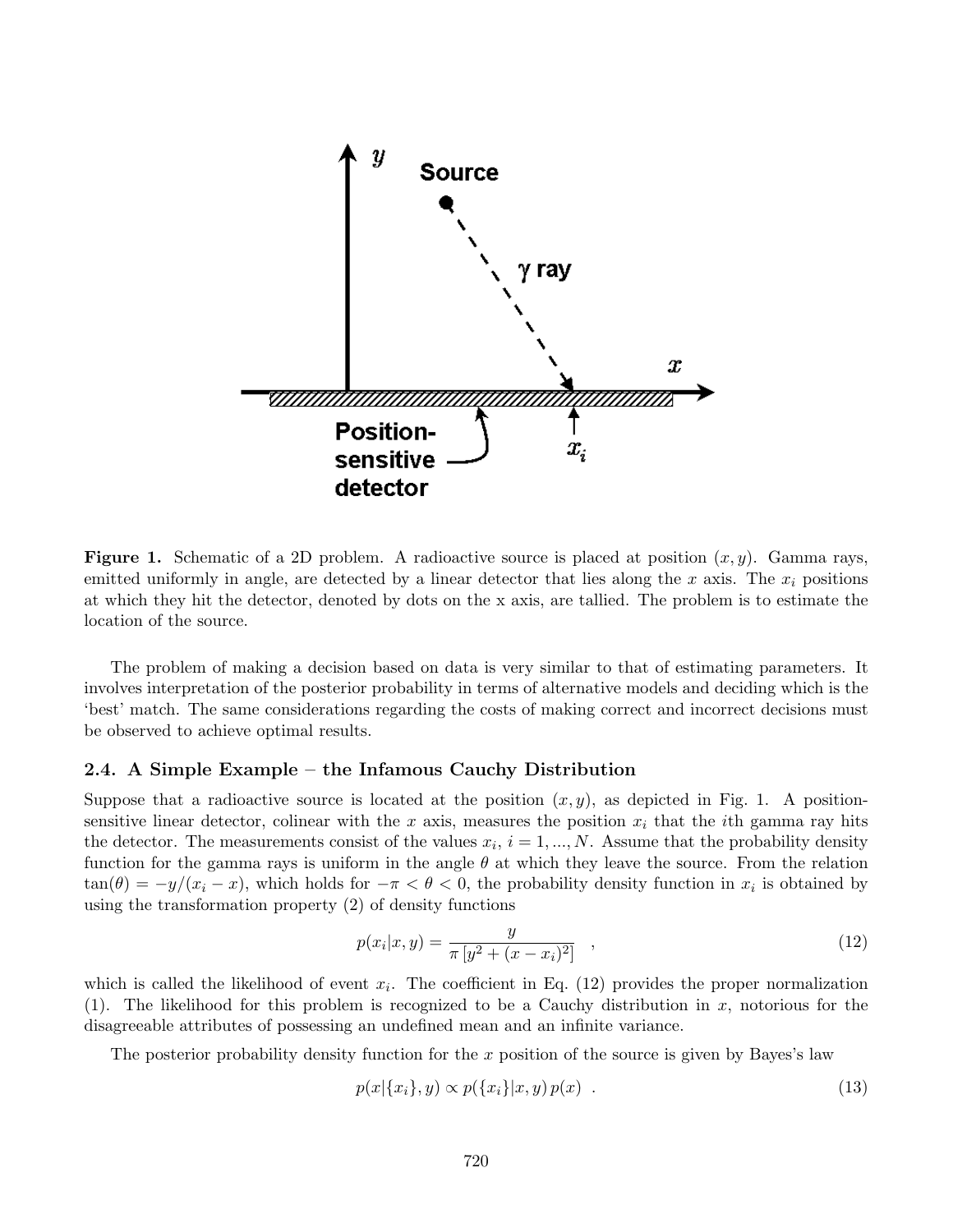

**Figure 1.** Schematic of a 2D problem. A radioactive source is placed at position  $(x, y)$ . Gamma rays, emitted uniformly in angle, are detected by a linear detector that lies along the x axis. The  $x_i$  positions at which theyhit the detector, denoted bydots on the x axis, are tallied. The problem is to estimate the location of the source.

The problem of making a decision based on data is verysimilar to that of estimating parameters. It involves interpretation of the posterior probability in terms of alternative models and deciding which is the 'best' match. The same considerations regarding the costs of making correct and incorrect decisions must be observed to achieve optimal results.

## **2.4. A Simple Example – the Infamous Cauchy Distribution**

Suppose that a radioactive source is located at the position  $(x, y)$ , as depicted in Fig. 1. A positionsensitive linear detector, colinear with the x axis, measures the position  $x_i$  that the ith gamma ray hits the detector. The measurements consist of the values  $x_i$ ,  $i = 1, ..., N$ . Assume that the probability density function for the gamma rays is uniform in the angle  $\theta$  at which they leave the source. From the relation  $\tan(\theta) = -y/(x_i - x)$ , which holds for  $-\pi < \theta < 0$ , the probability density function in  $x_i$  is obtained by using the transformation property  $(2)$  of density functions

$$
p(x_i|x,y) = \frac{y}{\pi [y^2 + (x - x_i)^2]},
$$
\n(12)

which is called the likelihood of event  $x_i$ . The coefficient in Eq. (12) provides the proper normalization (1). The likelihood for this problem is recognized to be a Cauchy distribution in  $x$ , notorious for the disagreeable attributes of possessing an undefined mean and an infinite variance.

The posterior probability density function for the x position of the source is given by Bayes's law

$$
p(x|\{x_i\}, y) \propto p(\{x_i\}|x, y) p(x) . \tag{13}
$$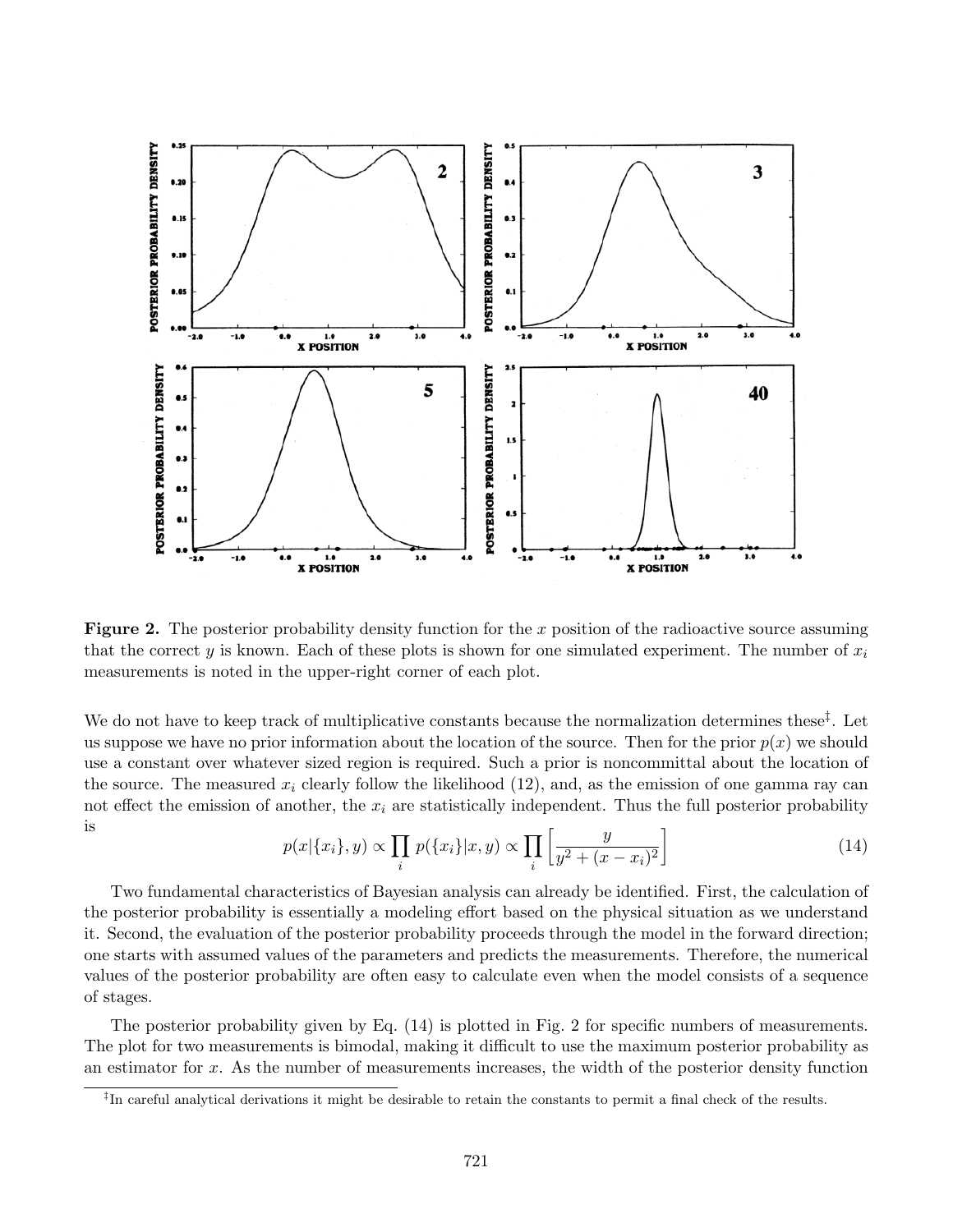

**Figure 2.** The posterior probability density function for the x position of the radioactive source assuming that the correct y is known. Each of these plots is shown for one simulated experiment. The number of  $x_i$ measurements is noted in the upper-right corner of each plot.

We do not have to keep track of multiplicative constants because the normalization determines these $\ddot{\tau}$ . Let us suppose we have no prior information about the location of the source. Then for the prior  $p(x)$  we should use a constant over whatever sized region is required. Such a prior is noncommittal about the location of the source. The measured  $x_i$  clearly follow the likelihood  $(12)$ , and, as the emission of one gamma ray can not effect the emission of another, the  $x_i$  are statistically independent. Thus the full posterior probability is

$$
p(x|\{x_i\}, y) \propto \prod_i p(\{x_i\}|x, y) \propto \prod_i \left[\frac{y}{y^2 + (x - x_i)^2}\right]
$$
 (14)

Two fundamental characteristics of Bayesian analysis can already be identified. First, the calculation of the posterior probability is essentially a modeling effort based on the physical situation as we understand it. Second, the evaluation of the posterior probability proceeds through the model in the forward direction; one starts with assumed values of the parameters and predicts the measurements. Therefore, the numerical values of the posterior probability are often easy to calculate even when the model consists of a sequence of stages.

The posterior probability given by Eq.  $(14)$  is plotted in Fig. 2 for specific numbers of measurements. The plot for two measurements is bimodal, making it difficult to use the maximum posterior probabilityas an estimator for  $x$ . As the number of measurements increases, the width of the posterior density function

 $\ddot{\tau}$ In careful analytical derivations it might be desirable to retain the constants to permit a final check of the results.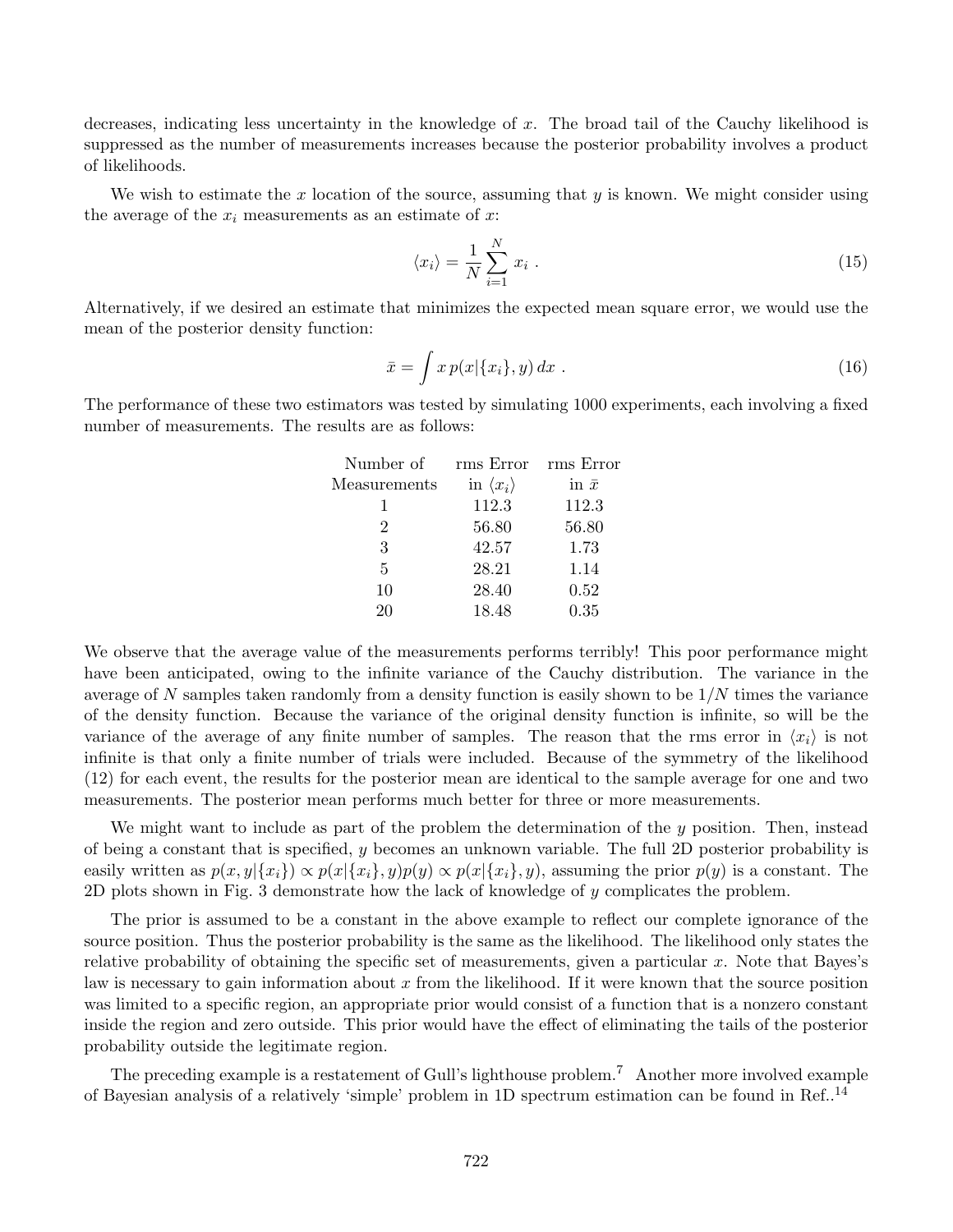decreases, indicating less uncertainty in the knowledge of  $x$ . The broad tail of the Cauchy likelihood is suppressed as the number of measurements increases because the posterior probability involves a product of likelihoods.

We wish to estimate the x location of the source, assuming that y is known. We might consider using the average of the  $x_i$  measurements as an estimate of x:

$$
\langle x_i \rangle = \frac{1}{N} \sum_{i=1}^{N} x_i \tag{15}
$$

Alternatively, if we desired an estimate that minimizes the expected mean square error, we would use the mean of the posterior density function:

$$
\bar{x} = \int x p(x|\{x_i\}, y) dx . \qquad (16)
$$

The performance of these two estimators was tested by simulating 1000 experiments, each involving a fixed number of measurements. The results are as follows:

| Number of    | rms Error rms Error      |              |
|--------------|--------------------------|--------------|
| Measurements | in $\langle x_i \rangle$ | in $\bar{x}$ |
|              | 112.3                    | 112.3        |
| 2            | 56.80                    | 56.80        |
| 3            | 42.57                    | 1.73         |
| 5            | 28.21                    | 1.14         |
| 10           | 28.40                    | 0.52         |
| 20           | 18.48                    | 0.35         |

We observe that the average value of the measurements performs terribly! This poor performance might have been anticipated, owing to the infinite variance of the Cauchy distribution. The variance in the average of N samples taken randomly from a density function is easily shown to be  $1/N$  times the variance of the density function. Because the variance of the original density function is infinite, so will be the variance of the average of any finite number of samples. The reason that the rms error in  $\langle x_i \rangle$  is not infinite is that onlya finite number of trials were included. Because of the symmetryof the likelihood (12) for each event, the results for the posterior mean are identical to the sample average for one and two measurements. The posterior mean performs much better for three or more measurements.

We might want to include as part of the problem the determination of the y position. Then, instead of being a constant that is specified,  $y$  becomes an unknown variable. The full 2D posterior probability is easily written as  $p(x, y | \{x_i\}) \propto p(x | \{x_i\}, y)p(y) \propto p(x | \{x_i\}, y)$ , assuming the prior  $p(y)$  is a constant. The 2D plots shown in Fig. 3 demonstrate how the lack of knowledge of y complicates the problem.

The prior is assumed to be a constant in the above example to reflect our complete ignorance of the source position. Thus the posterior probability is the same as the likelihood. The likelihood only states the relative probability of obtaining the specific set of measurements, given a particular  $x$ . Note that Bayes's law is necessary to gain information about  $x$  from the likelihood. If it were known that the source position was limited to a specific region, an appropriate prior would consist of a function that is a nonzero constant inside the region and zero outside. This prior would have the effect of eliminating the tails of the posterior probability outside the legitimate region.

The preceding example is a restatement of Gull's lighthouse problem.<sup>7</sup> Another more involved example of Bayesian analysis of a relatively 'simple' problem in 1D spectrum estimation can be found in Ref..<sup>14</sup>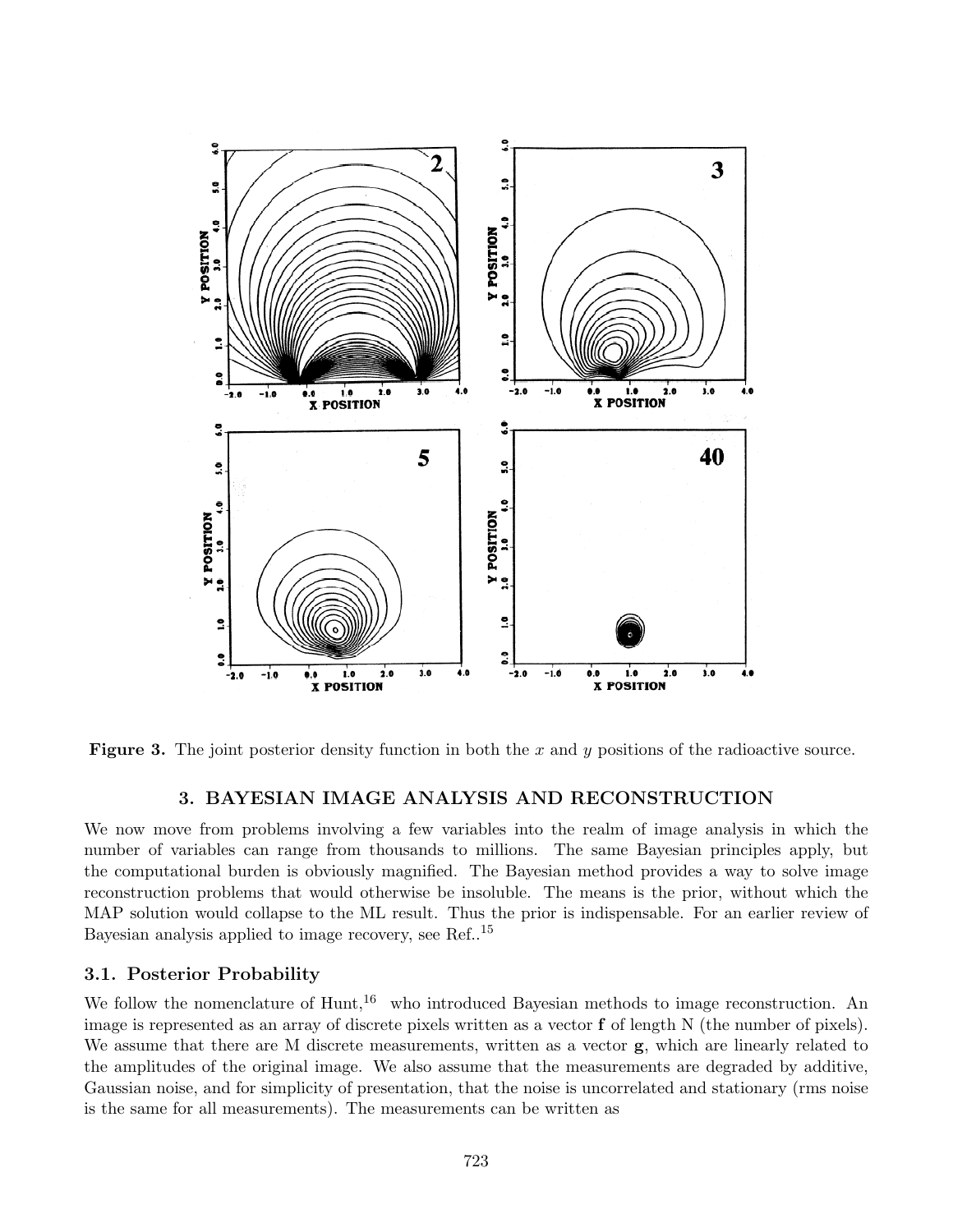

**Figure 3.** The joint posterior density function in both the x and y positions of the radioactive source.

## **3. BAYESIAN IMAGE ANALYSIS AND RECONSTRUCTION**

We now move from problems involving a few variables into the realm of image analysis in which the number of variables can range from thousands to millions. The same Bayesian principles apply, but the computational burden is obviously magnified. The Bayesian method provides a way to solve image reconstruction problems that would otherwise be insoluble. The means is the prior, without which the MAP solution would collapse to the ML result. Thus the prior is indispensable. For an earlier review of Bayesian analysis applied to image recovery, see Ref..<sup>15</sup>

## **3.1. Posterior Probability**

We follow the nomenclature of  $\text{Hunt}^{16}$  who introduced Bayesian methods to image reconstruction. An image is represented as an array of discrete pixels written as a vector **f** of length N (the number of pixels). We assume that there are M discrete measurements, written as a vector **g**, which are linearly related to the amplitudes of the original image. We also assume that the measurements are degraded byadditive, Gaussian noise, and for simplicity of presentation, that the noise is uncorrelated and stationary (rms noise is the same for all measurements). The measurements can be written as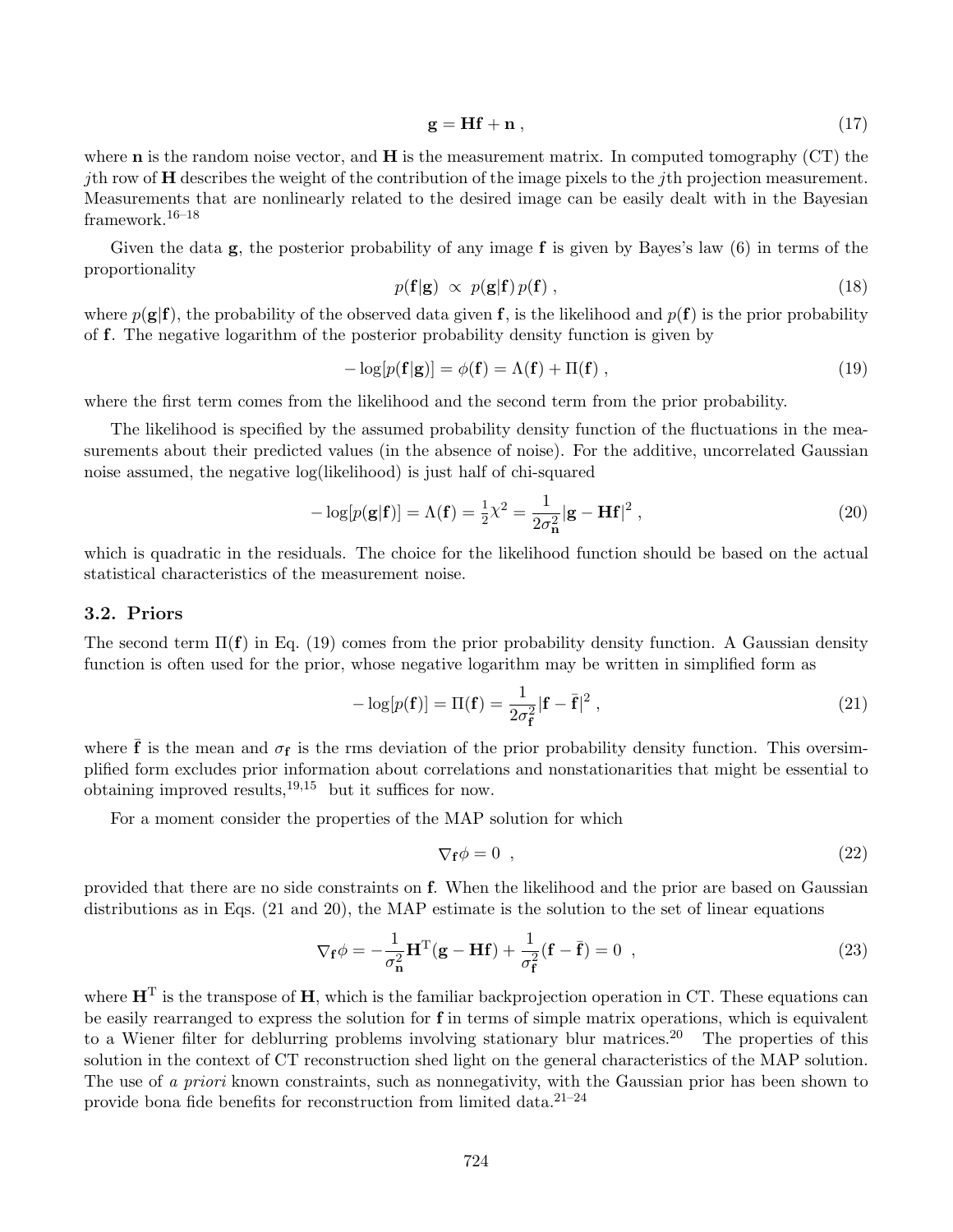$$
\mathbf{g} = \mathbf{H} \mathbf{f} + \mathbf{n} \tag{17}
$$

where **n** is the random noise vector, and **H** is the measurement matrix. In computed tomography(CT) the <sup>j</sup>th row of **H** describes the weight of the contribution of the image pixels to the <sup>j</sup>th projection measurement. Measurements that are nonlinearly related to the desired image can be easily dealt with in the Bayesian framework.16–18

Given the data **g**, the posterior probability of any image **f** is given by Bayes's law (6) in terms of the proportionality

$$
p(\mathbf{f}|\mathbf{g}) \propto p(\mathbf{g}|\mathbf{f}) p(\mathbf{f}), \tag{18}
$$

where  $p(\mathbf{g}|\mathbf{f})$ , the probability of the observed data given **f**, is the likelihood and  $p(\mathbf{f})$  is the prior probability of **f**. The negative logarithm of the posterior probability density function is given by

$$
-\log[p(\mathbf{f}|\mathbf{g})] = \phi(\mathbf{f}) = \Lambda(\mathbf{f}) + \Pi(\mathbf{f}), \qquad (19)
$$

where the first term comes from the likelihood and the second term from the prior probability.

The likelihood is specified by the assumed probability density function of the fluctuations in the measurements about their predicted values (in the absence of noise). For the additive, uncorrelated Gaussian noise assumed, the negative log(likelihood) is just half of chi-squared

$$
-\log[p(\mathbf{g}|\mathbf{f})] = \Lambda(\mathbf{f}) = \frac{1}{2}\chi^2 = \frac{1}{2\sigma_{\mathbf{n}}^2}|\mathbf{g} - \mathbf{H}\mathbf{f}|^2,
$$
\n(20)

which is quadratic in the residuals. The choice for the likelihood function should be based on the actual statistical characteristics of the measurement noise.

## **3.2. Priors**

The second term  $\Pi(\mathbf{f})$  in Eq. (19) comes from the prior probability density function. A Gaussian density function is often used for the prior, whose negative logarithm may be written in simplified form as

$$
-\log[p(\mathbf{f})] = \Pi(\mathbf{f}) = \frac{1}{2\sigma_{\mathbf{f}}^2} |\mathbf{f} - \bar{\mathbf{f}}|^2,
$$
\n(21)

where  $f$  is the mean and  $\sigma_f$  is the rms deviation of the prior probability density function. This oversimplified form excludes prior information about correlations and nonstationarities that might be essential to obtaining improved results, $19,15$  but it suffices for now.

For a moment consider the properties of the MAP solution for which

$$
\nabla_{\mathbf{f}} \phi = 0 \quad , \tag{22}
$$

provided that there are no side constraints on **f**. When the likelihood and the prior are based on Gaussian distributions as in Eqs. (21 and 20), the MAP estimate is the solution to the set of linear equations

$$
\nabla_{\mathbf{f}} \phi = -\frac{1}{\sigma_{\mathbf{n}}^2} \mathbf{H}^{\mathrm{T}}(\mathbf{g} - \mathbf{H}\mathbf{f}) + \frac{1}{\sigma_{\mathbf{f}}^2} (\mathbf{f} - \bar{\mathbf{f}}) = 0 \quad , \tag{23}
$$

where  $\mathbf{H}^{\mathrm{T}}$  is the transpose of **H**, which is the familiar backprojection operation in CT. These equations can<br>be easily rearranged to express the solution for **f** in terms of simple matrix operations, which is eq be easilyrearranged to express the solution for **f** in terms of simple matrix operations, which is equivalent to a Wiener filter for deblurring problems involving stationary blur matrices.<sup>20</sup> The properties of this solution in the context of CT reconstruction shed light on the general characteristics of the MAP solution. The use of *a priori* known constraints, such as nonnegativity, with the Gaussian prior has been shown to provide bona fide benefits for reconstruction from limited data.21–24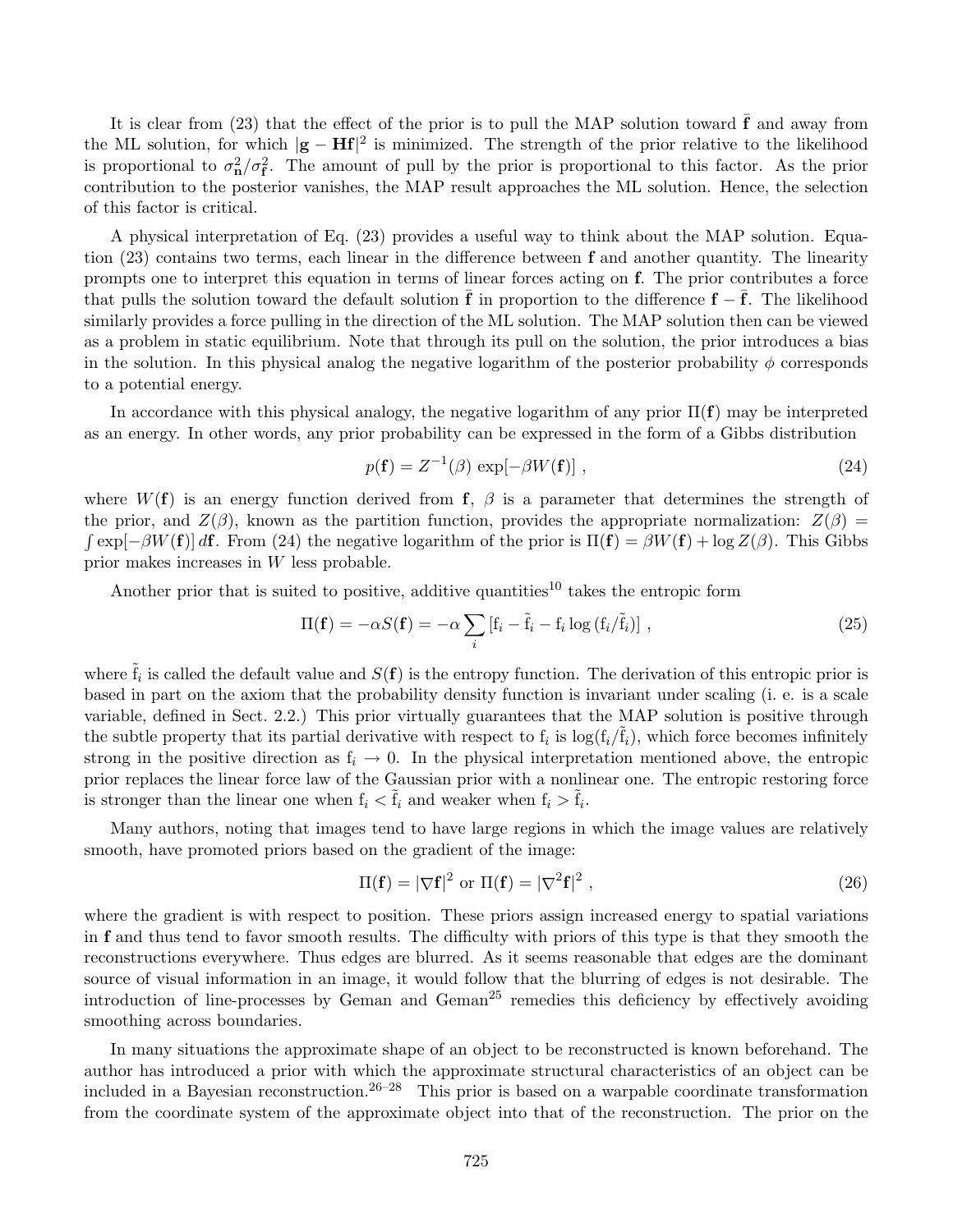It is clear from (23) that the effect of the prior is to pull the MAP solution toward  $\bar{f}$  and away from the ML solution, for which  $|\mathbf{g} - \mathbf{Hf}|^2$  is minimized. The strength of the prior relative to the likelihood<br>is proportional to  $\sigma^2/\sigma^2$ . The smount of pull by the prior is proportional to this factor. As the prior is proportional to  $\sigma_n^2/\sigma_f^2$ . The amount of pull by the prior is proportional to this factor. As the prior contribution to the posterior vanishes the MAP result approaches the ML solution. Hence the selection contribution to the posterior vanishes, the MAP result approaches the ML solution. Hence, the selection of this factor is critical.

A physical interpretation of Eq. (23) provides a useful way to think about the MAP solution. Equation (23) contains two terms, each linear in the difference between **f** and another quantity. The linearity prompts one to interpret this equation in terms of linear forces acting on **f**. The prior contributes a force that pulls the solution toward the default solution  $f$  in proportion to the difference  $f - f$ . The likelihood similarly provides a force pulling in the direction of the ML solution. The MAP solution then can be viewed as a problem in static equilibrium. Note that through its pull on the solution, the prior introduces a bias in the solution. In this physical analog the negative logarithm of the posterior probability  $\phi$  corresponds to a potential energy.

In accordance with this physical analogy, the negative logarithm of any prior  $\Pi(\mathbf{f})$  may be interpreted as an energy. In other words, any prior probability can be expressed in the form of a Gibbs distribution

$$
p(\mathbf{f}) = Z^{-1}(\beta) \exp[-\beta W(\mathbf{f})], \qquad (24)
$$

where  $W(\mathbf{f})$  is an energy function derived from **f**,  $\beta$  is a parameter that determines the strength of the prior, and  $Z(\beta)$ , known as the partition function, provides the appropriate normalization:  $Z(\beta)$  =  $\int \exp[-\beta W(\mathbf{f})] d\mathbf{f}$ . From (24) the negative logarithm of the prior is  $\Pi(\mathbf{f}) = \beta W(\mathbf{f}) + \log Z(\beta)$ . This Gibbs prior makes increases in W less probable.

Another prior that is suited to positive, additive quantities<sup>10</sup> takes the entropic form

$$
\Pi(\mathbf{f}) = -\alpha S(\mathbf{f}) = -\alpha \sum_{i} \left[ f_i - \tilde{f}_i - f_i \log \left( f_i / \tilde{f}_i \right) \right],\tag{25}
$$

where  $\tilde{f}_i$  is called the default value and  $S(f)$  is the entropy function. The derivation of this entropic prior is based in part on the axiom that the probability density function is invariant under scaling (i. e. is a scale variable, defined in Sect. 2.2.) This prior virtually guarantees that the MAP solution is positive through the subtle property that its partial derivative with respect to  $f_i$  is  $\log(f_i/f_i)$ , which force becomes infinitely strong in the positive direction as  $f_i \rightarrow 0$ . In the physical interpretation mentioned above, the entropic prior replaces the linear force law of the Gaussian prior with a nonlinear one. The entropic restoring force is stronger than the linear one when  $f_i < \tilde{f}_i$  and weaker when  $f_i > \tilde{f}_i$ .

Manyauthors, noting that images tend to have large regions in which the image values are relatively smooth, have promoted priors based on the gradient of the image:

$$
\Pi(\mathbf{f}) = |\nabla \mathbf{f}|^2 \text{ or } \Pi(\mathbf{f}) = |\nabla^2 \mathbf{f}|^2 , \qquad (26)
$$

where the gradient is with respect to position. These priors assign increased energy to spatial variations in **f** and thus tend to favor smooth results. The difficulty with priors of this type is that they smooth the reconstructions everywhere. Thus edges are blurred. As it seems reasonable that edges are the dominant source of visual information in an image, it would follow that the blurring of edges is not desirable. The introduction of line-processes by Geman and Geman<sup>25</sup> remedies this deficiency by effectively avoiding smoothing across boundaries.

In manysituations the approximate shape of an object to be reconstructed is known beforehand. The author has introduced a prior with which the approximate structural characteristics of an object can be included in a Bayesian reconstruction.<sup>26–28</sup> This prior is based on a warpable coordinate transformation from the coordinate system of the approximate object into that of the reconstruction. The prior on the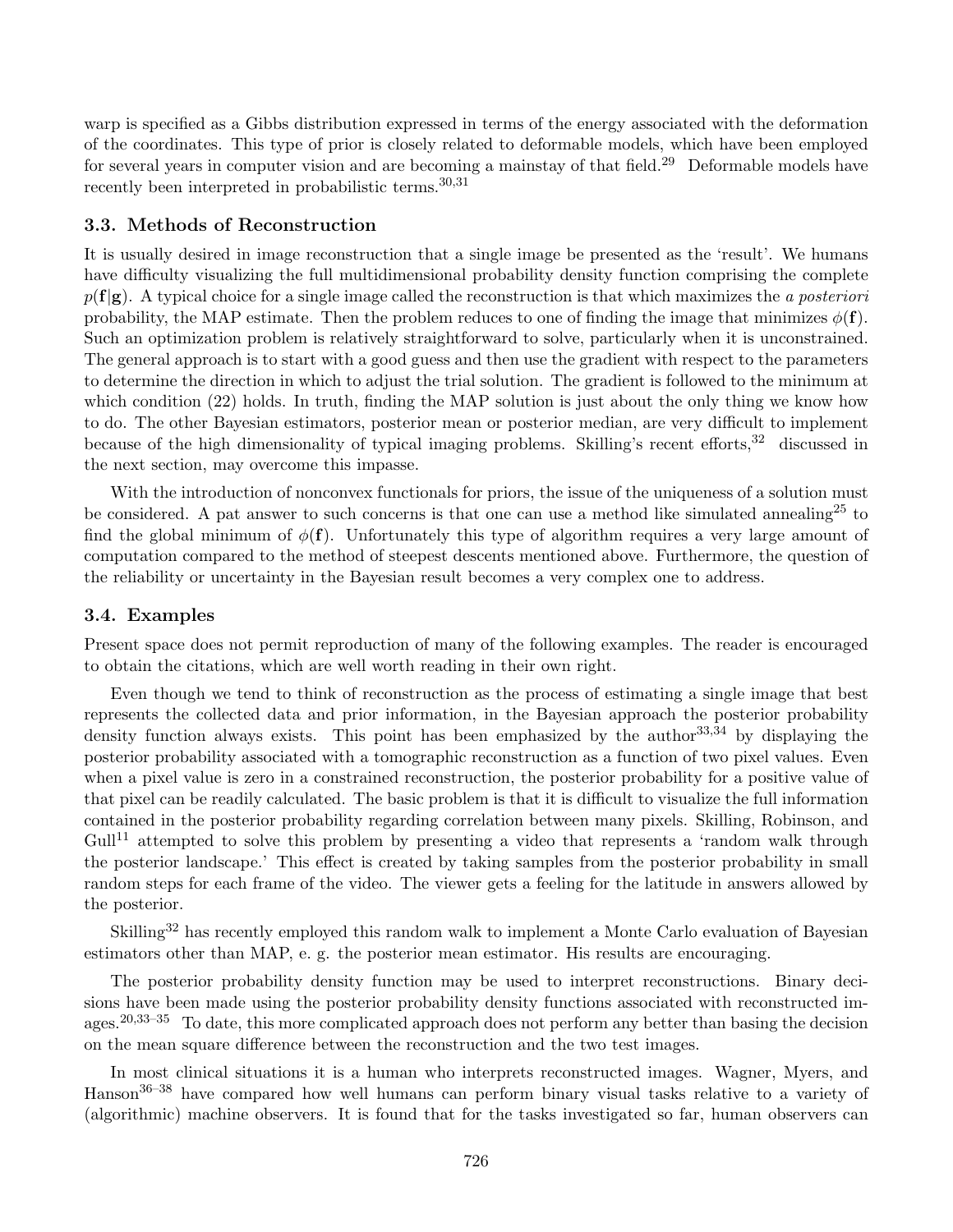warp is specified as a Gibbs distribution expressed in terms of the energy associated with the deformation of the coordinates. This type of prior is closely related to deformable models, which have been employed for several years in computer vision and are becoming a mainstay of that field.<sup>29</sup> Deformable models have recently been interpreted in probabilistic terms. $30,31$ 

## **3.3. Methods of Reconstruction**

It is usually desired in image reconstruction that a single image be presented as the 'result'. We humans have difficulty visualizing the full multidimensional probability density function comprising the complete <sup>p</sup>(**f**|**g**). A typical choice for a single image called the reconstruction is that which maximizes the *a posteriori* probability, the MAP estimate. Then the problem reduces to one of finding the image that minimizes  $\phi(\mathbf{f})$ . Such an optimization problem is relatively straightforward to solve, particularly when it is unconstrained. The general approach is to start with a good guess and then use the gradient with respect to the parameters to determine the direction in which to adjust the trial solution. The gradient is followed to the minimum at which condition (22) holds. In truth, finding the MAP solution is just about the only thing we know how to do. The other Bayesian estimators, posterior mean or posterior median, are very difficult to implement because of the high dimensionality of typical imaging problems. Skilling's recent efforts,<sup>32</sup> discussed in the next section, mayovercome this impasse.

With the introduction of nonconvex functionals for priors, the issue of the uniqueness of a solution must be considered. A pat answer to such concerns is that one can use a method like simulated annealing<sup>25</sup> to find the global minimum of  $\phi(\mathbf{f})$ . Unfortunately this type of algorithm requires a very large amount of computation compared to the method of steepest descents mentioned above. Furthermore, the question of the reliability or uncertainty in the Bayesian result becomes a very complex one to address.

## **3.4. Examples**

Present space does not permit reproduction of manyof the following examples. The reader is encouraged to obtain the citations, which are well worth reading in their own right.

Even though we tend to think of reconstruction as the process of estimating a single image that best represents the collected data and prior information, in the Bayesian approach the posterior probability density function always exists. This point has been emphasized by the author<sup>33,34</sup> by displaying the posterior probabilityassociated with a tomographic reconstruction as a function of two pixel values. Even when a pixel value is zero in a constrained reconstruction, the posterior probability for a positive value of that pixel can be readilycalculated. The basic problem is that it is difficult to visualize the full information contained in the posterior probability regarding correlation between many pixels. Skilling, Robinson, and  $Gull<sup>11</sup>$  attempted to solve this problem by presenting a video that represents a 'random walk through the posterior landscape.' This effect is created bytaking samples from the posterior probabilityin small random steps for each frame of the video. The viewer gets a feeling for the latitude in answers allowed by the posterior.

Skilling<sup>32</sup> has recently employed this random walk to implement a Monte Carlo evaluation of Bayesian estimators other than MAP, e. g. the posterior mean estimator. His results are encouraging.

The posterior probability density function may be used to interpret reconstructions. Binary decisions have been made using the posterior probability density functions associated with reconstructed images.<sup>20,33–35</sup> To date, this more complicated approach does not perform any better than basing the decision on the mean square difference between the reconstruction and the two test images.

In most clinical situations it is a human who interprets reconstructed images. Wagner, Myers, and Hanson<sup>36–38</sup> have compared how well humans can perform binary visual tasks relative to a variety of (algorithmic) machine observers. It is found that for the tasks investigated so far, human observers can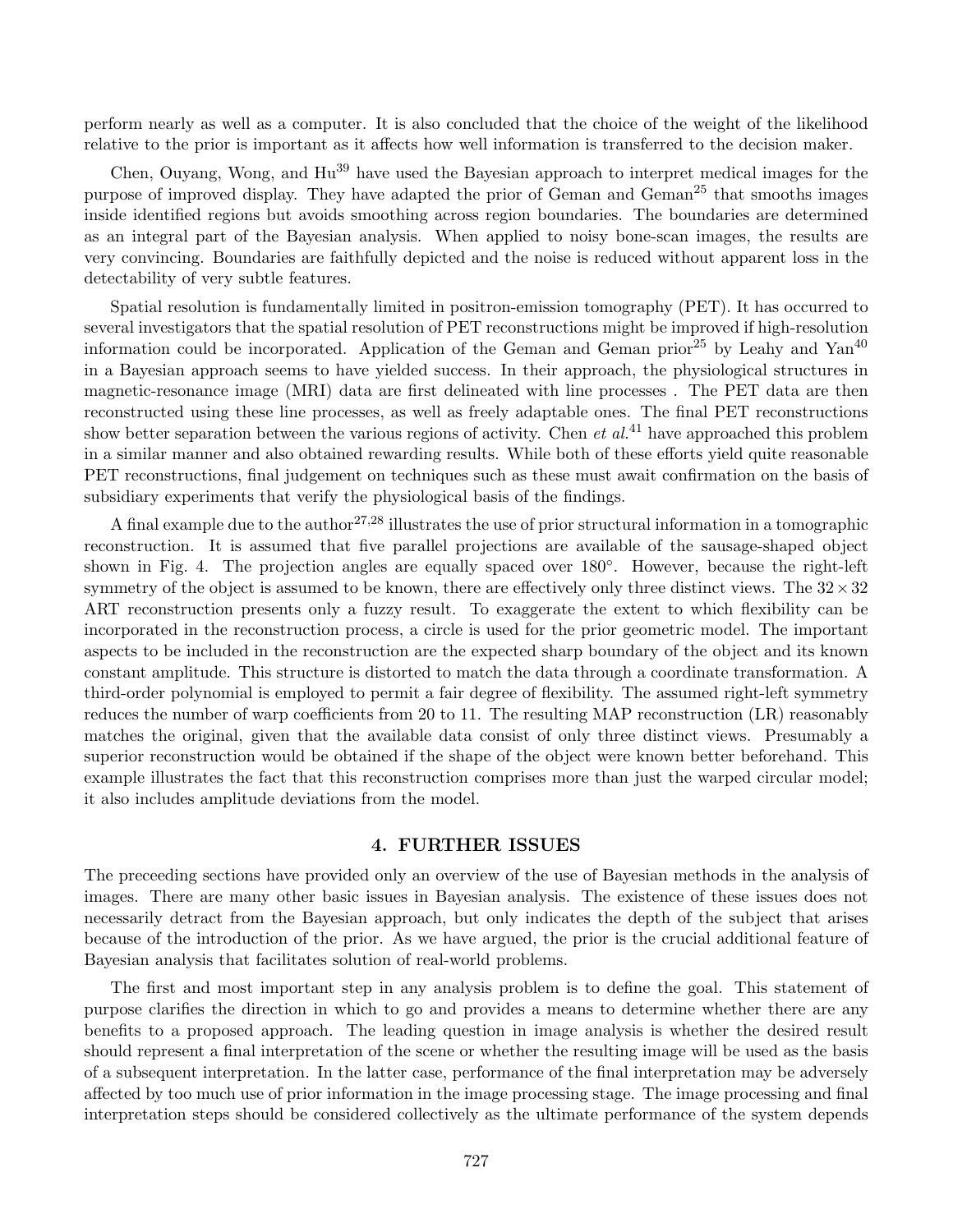perform nearlyas well as a computer. It is also concluded that the choice of the weight of the likelihood relative to the prior is important as it affects how well information is transferred to the decision maker.

Chen, Ouyang, Wong, and Hu<sup>39</sup> have used the Bayesian approach to interpret medical images for the purpose of improved display. They have adapted the prior of Geman and Geman<sup>25</sup> that smooths images inside identified regions but avoids smoothing across region boundaries. The boundaries are determined as an integral part of the Bayesian analysis. When applied to noisy bone-scan images, the results are very convincing. Boundaries are faithfully depicted and the noise is reduced without apparent loss in the detectability of very subtle features.

Spatial resolution is fundamentallylimited in positron-emission tomography(PET). It has occurred to several investigators that the spatial resolution of PET reconstructions might be improved if high-resolution information could be incorporated. Application of the Geman and Geman prior<sup>25</sup> by Leahy and Yan<sup>40</sup> in a Bayesian approach seems to have yielded success. In their approach, the physiological structures in magnetic-resonance image (MRI) data are first delineated with line processes . The PET data are then reconstructed using these line processes, as well as freelyadaptable ones. The final PET reconstructions show better separation between the various regions of activity. Chen *et al.*<sup>41</sup> have approached this problem in a similar manner and also obtained rewarding results. While both of these efforts yield quite reasonable PET reconstructions, final judgement on techniques such as these must await confirmation on the basis of subsidiary experiments that verify the physiological basis of the findings.

A final example due to the author<sup>27,28</sup> illustrates the use of prior structural information in a tomographic reconstruction. It is assumed that five parallel projections are available of the sausage-shaped object shown in Fig. 4. The projection angles are equally spaced over  $180°$ . However, because the right-left symmetry of the object is assumed to be known, there are effectively only three distinct views. The  $32 \times 32$ ART reconstruction presents only a fuzzy result. To exaggerate the extent to which flexibility can be incorporated in the reconstruction process, a circle is used for the prior geometric model. The important aspects to be included in the reconstruction are the expected sharp boundaryof the object and its known constant amplitude. This structure is distorted to match the data through a coordinate transformation. A third-order polynomial is employed to permit a fair degree of flexibility. The assumed right-left symmetry reduces the number of warp coefficients from 20 to 11. The resulting MAP reconstruction (LR) reasonably matches the original, given that the available data consist of only three distinct views. Presumably a superior reconstruction would be obtained if the shape of the object were known better beforehand. This example illustrates the fact that this reconstruction comprises more than just the warped circular model; it also includes amplitude deviations from the model.

## **4. FURTHER ISSUES**

The preceeding sections have provided onlyan overview of the use of Bayesian methods in the analysis of images. There are manyother basic issues in Bayesian analysis. The existence of these issues does not necessarily detract from the Bayesian approach, but only indicates the depth of the subject that arises because of the introduction of the prior. As we have argued, the prior is the crucial additional feature of Bayesian analysis that facilitates solution of real-world problems.

The first and most important step in anyanalysis problem is to define the goal. This statement of purpose clarifies the direction in which to go and provides a means to determine whether there are any benefits to a proposed approach. The leading question in image analysis is whether the desired result should represent a final interpretation of the scene or whether the resulting image will be used as the basis of a subsequent interpretation. In the latter case, performance of the final interpretation maybe adversely affected bytoo much use of prior information in the image processing stage. The image processing and final interpretation steps should be considered collectivelyas the ultimate performance of the system depends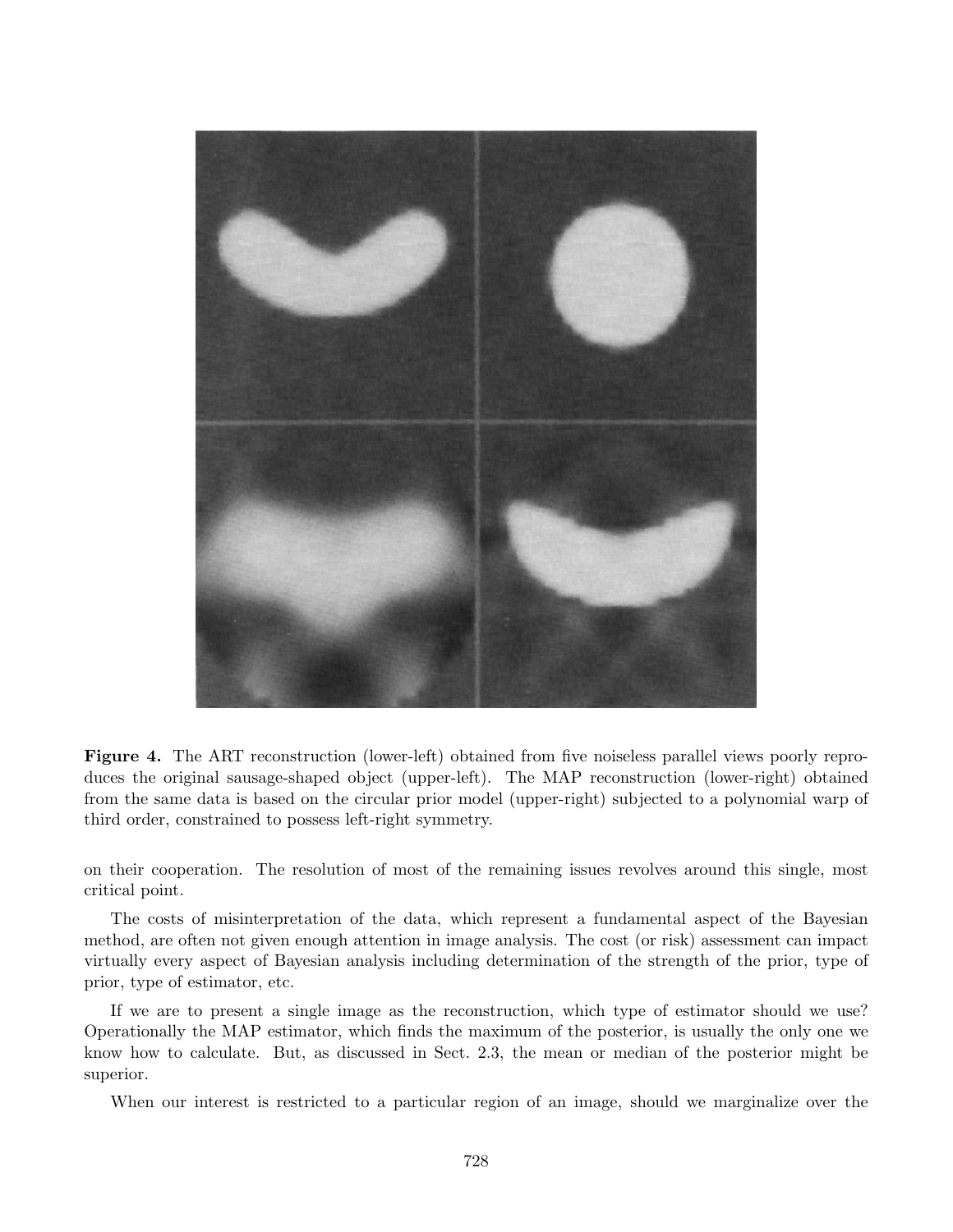

**Figure 4.** The ART reconstruction (lower-left) obtained from five noiseless parallel views poorly reproduces the original sausage-shaped object (upper-left). The MAP reconstruction (lower-right) obtained from the same data is based on the circular prior model (upper-right) subjected to a polynomial warp of third order, constrained to possess left-right symmetry.

on their cooperation. The resolution of most of the remaining issues revolves around this single, most critical point.

The costs of misinterpretation of the data, which represent a fundamental aspect of the Bayesian method, are often not given enough attention in image analysis. The cost (or risk) assessment can impact virtually every aspect of Bayesian analysis including determination of the strength of the prior, type of prior, type of estimator, etc.

If we are to present a single image as the reconstruction, which type of estimator should we use? Operationally the MAP estimator, which finds the maximum of the posterior, is usually the only one we know how to calculate. But, as discussed in Sect. 2.3, the mean or median of the posterior might be superior.

When our interest is restricted to a particular region of an image, should we marginalize over the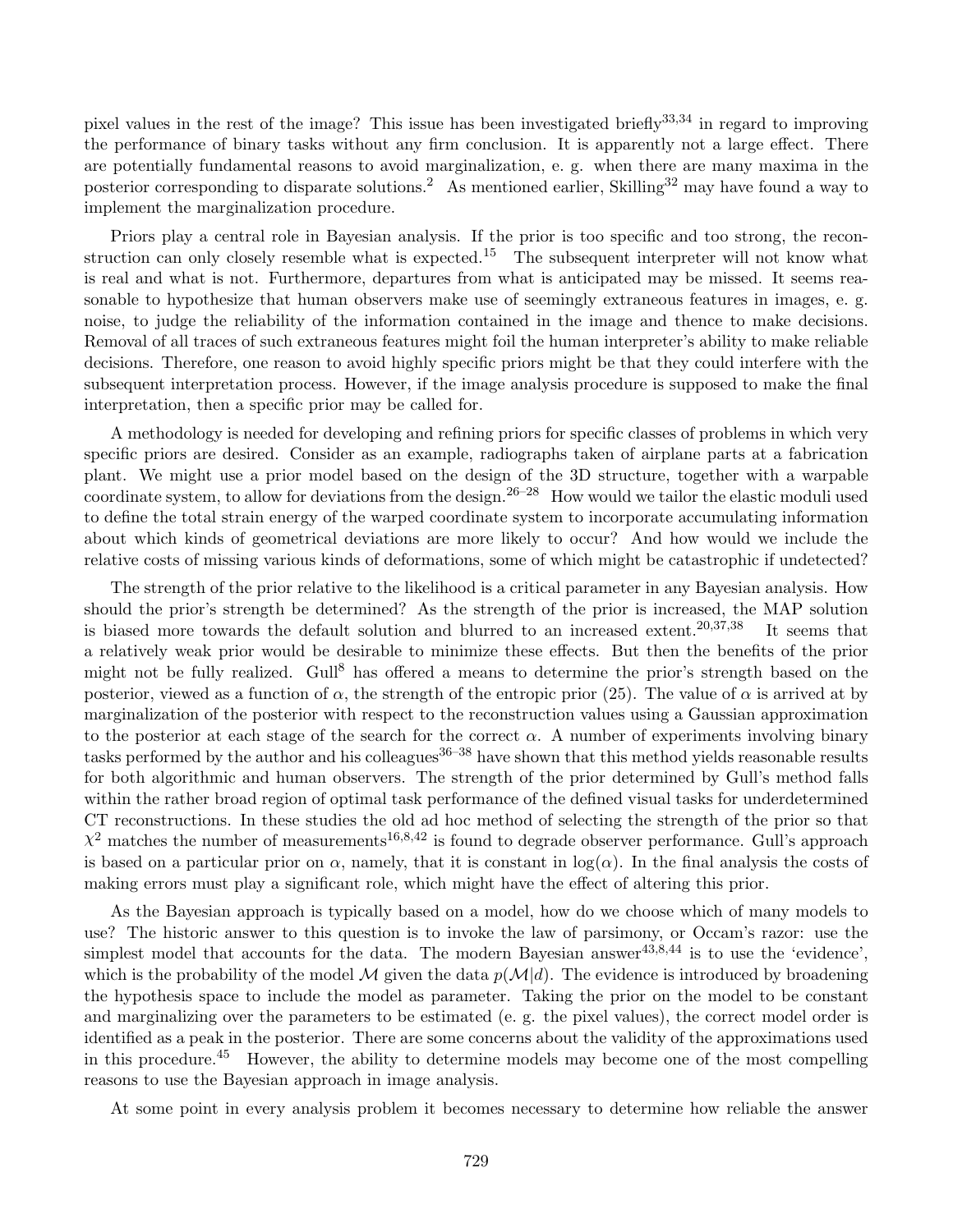pixel values in the rest of the image? This issue has been investigated briefly<sup>33,34</sup> in regard to improving the performance of binary tasks without any firm conclusion. It is apparently not a large effect. There are potentially fundamental reasons to avoid marginalization, e. g. when there are many maxima in the posterior corresponding to disparate solutions.<sup>2</sup> As mentioned earlier, Skilling<sup>32</sup> may have found a way to implement the marginalization procedure.

Priors play a central role in Bayesian analysis. If the prior is too specific and too strong, the reconstruction can only closely resemble what is expected.<sup>15</sup> The subsequent interpreter will not know what is real and what is not. Furthermore, departures from what is anticipated maybe missed. It seems reasonable to hypothesize that human observers make use of seemingly extraneous features in images, e. g. noise, to judge the reliability of the information contained in the image and thence to make decisions. Removal of all traces of such extraneous features might foil the human interpreter's abilityto make reliable decisions. Therefore, one reason to avoid highly specific priors might be that they could interfere with the subsequent interpretation process. However, if the image analysis procedure is supposed to make the final interpretation, then a specific prior may be called for.

A methodologyis needed for developing and refining priors for specific classes of problems in which very specific priors are desired. Consider as an example, radiographs taken of airplane parts at a fabrication plant. We might use a prior model based on the design of the 3D structure, together with a warpable coordinate system, to allow for deviations from the design.<sup>26–28</sup> How would we tailor the elastic moduli used to define the total strain energyof the warped coordinate system to incorporate accumulating information about which kinds of geometrical deviations are more likely to occur? And how would we include the relative costs of missing various kinds of deformations, some of which might be catastrophic if undetected?

The strength of the prior relative to the likelihood is a critical parameter in any Bayesian analysis. How should the prior's strength be determined? As the strength of the prior is increased, the MAP solution is biased more towards the default solution and blurred to an increased extent.<sup>20,37,38</sup> It seems that a relativelyweak prior would be desirable to minimize these effects. But then the benefits of the prior might not be fully realized. Gull<sup>8</sup> has offered a means to determine the prior's strength based on the posterior, viewed as a function of  $\alpha$ , the strength of the entropic prior (25). The value of  $\alpha$  is arrived at by marginalization of the posterior with respect to the reconstruction values using a Gaussian approximation to the posterior at each stage of the search for the correct  $\alpha$ . A number of experiments involving binary tasks performed by the author and his colleagues  $36-38$  have shown that this method yields reasonable results for both algorithmic and human observers. The strength of the prior determined byGull's method falls within the rather broad region of optimal task performance of the defined visual tasks for underdetermined CT reconstructions. In these studies the old ad hoc method of selecting the strength of the prior so that  $\chi^2$  matches the number of measurements<sup>16,8,42</sup> is found to degrade observer performance. Gull's approach is based on a particular prior on  $\alpha$ , namely, that it is constant in  $log(\alpha)$ . In the final analysis the costs of making errors must playa significant role, which might have the effect of altering this prior.

As the Bayesian approach is typically based on a model, how do we choose which of many models to use? The historic answer to this question is to invoke the law of parsimony, or Occam's razor: use the simplest model that accounts for the data. The modern Bayesian answer<sup>43,8,44</sup> is to use the 'evidence', which is the probability of the model M given the data  $p(M|d)$ . The evidence is introduced by broadening the hypothesis space to include the model as parameter. Taking the prior on the model to be constant and marginalizing over the parameters to be estimated (e. g. the pixel values), the correct model order is identified as a peak in the posterior. There are some concerns about the validityof the approximations used in this procedure.<sup>45</sup> However, the ability to determine models may become one of the most compelling reasons to use the Bayesian approach in image analysis.

At some point in every analysis problem it becomes necessary to determine how reliable the answer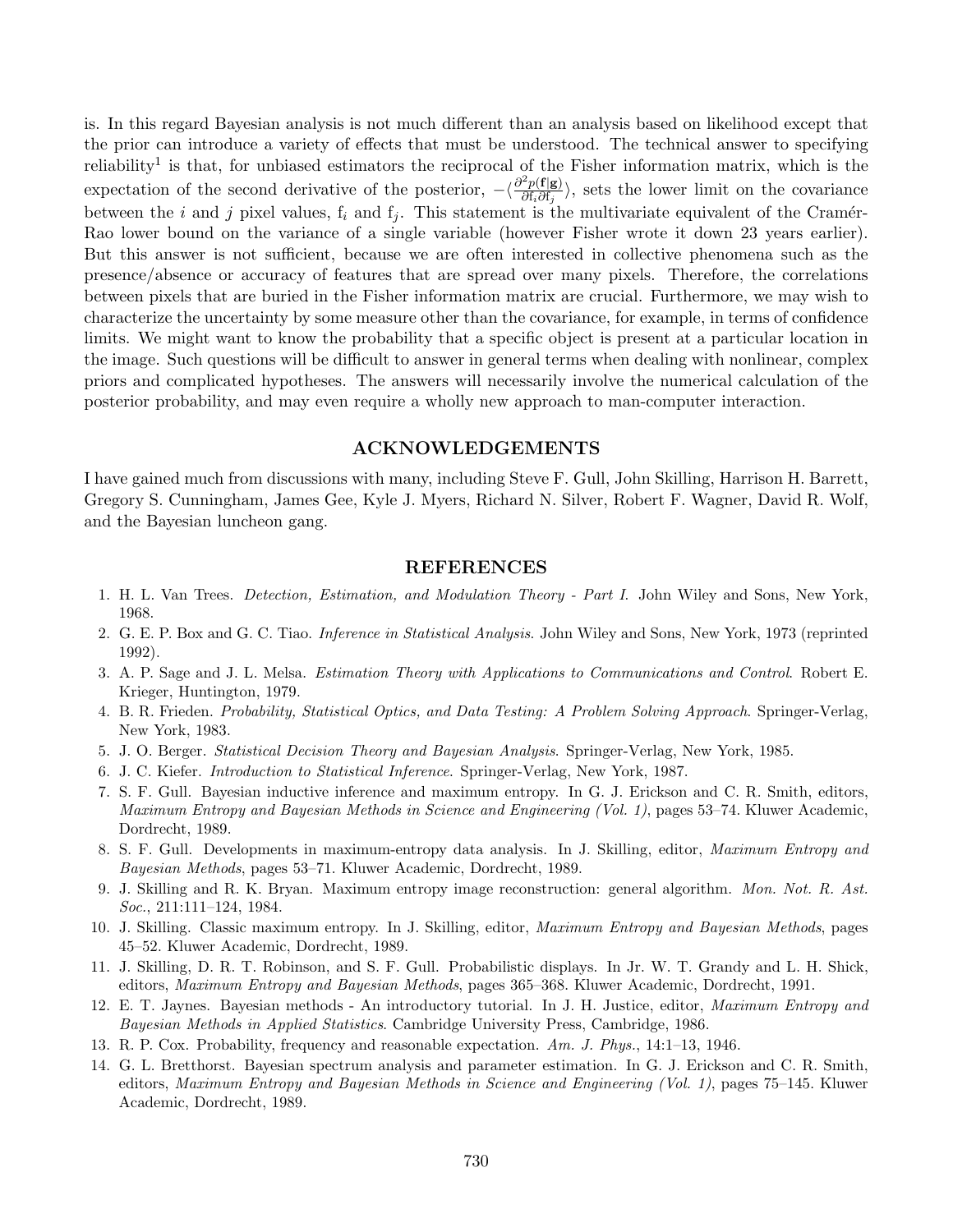is. In this regard Bayesian analysis is not much different than an analysis based on likelihood except that the prior can introduce a varietyof effects that must be understood. The technical answer to specifying reliability<sup>1</sup> is that, for unbiased estimators the reciprocal of the Fisher information matrix, which is the expectation of the second derivative of the posterior,  $-\langle \frac{\partial^2 p(\mathbf{f}|\mathbf{g})}{\partial f_i \partial f_j} \rangle$ , sets the lower limit on the covariance between the i and j pixel values,  $f_i$  and  $f_j$ . This statement is the multivariate equivalent of the Cramér-Rao lower bound on the variance of a single variable (however Fisher wrote it down 23 years earlier). But this answer is not sufficient, because we are often interested in collective phenomena such as the presence/absence or accuracyof features that are spread over manypixels. Therefore, the correlations between pixels that are buried in the Fisher information matrix are crucial. Furthermore, we maywish to characterize the uncertaintybysome measure other than the covariance, for example, in terms of confidence limits. We might want to know the probability that a specific object is present at a particular location in the image. Such questions will be difficult to answer in general terms when dealing with nonlinear, complex priors and complicated hypotheses. The answers will necessarily involve the numerical calculation of the posterior probability, and may even require a wholly new approach to man-computer interaction.

## **ACKNOWLEDGEMENTS**

I have gained much from discussions with many, including Steve F. Gull, John Skilling, Harrison H. Barrett, GregoryS. Cunningham, James Gee, Kyle J. Myers, Richard N. Silver, Robert F. Wagner, David R. Wolf, and the Bayesian luncheon gang.

#### **REFERENCES**

- 1. H. L. Van Trees. *Detection, Estimation, and Modulation Theory Part I*. John Wileyand Sons, New York, 1968.
- 2. G. E. P. Box and G. C. Tiao. *Inference in Statistical Analysis*. John Wileyand Sons, New York, 1973 (reprinted 1992).
- 3. A. P. Sage and J. L. Melsa. *Estimation Theory with Applications to Communications and Control*. Robert E. Krieger, Huntington, 1979.
- 4. B. R. Frieden. *Probability, Statistical Optics, and Data Testing: AProblem Solving Approach*. Springer-Verlag, New York, 1983.
- 5. J. O. Berger. *Statistical Decision Theory and Bayesian Analysis*. Springer-Verlag, New York, 1985.
- 6. J. C. Kiefer. *Introduction to Statistical Inference*. Springer-Verlag, New York, 1987.
- 7. S. F. Gull. Bayesian inductive inference and maximum entropy. In G. J. Erickson and C. R. Smith, editors, *Maximum Entropy and Bayesian Methods in Science and Engineering (Vol. 1)*, pages 53–74. Kluwer Academic, Dordrecht, 1989.
- 8. S. F. Gull. Developments in maximum-entropydata analysis. In J. Skilling, editor, *Maximum Entropy and Bayesian Methods*, pages 53–71. Kluwer Academic, Dordrecht, 1989.
- 9. J. Skilling and R. K. Bryan. Maximum entropy image reconstruction: general algorithm. *Mon. Not. R. Ast. Soc.*, 211:111–124, 1984.
- 10. J. Skilling. Classic maximum entropy. In J. Skilling, editor, *Maximum Entropy and Bayesian Methods*, pages 45–52. Kluwer Academic, Dordrecht, 1989.
- 11. J. Skilling, D. R. T. Robinson, and S. F. Gull. Probabilistic displays. In Jr. W. T. Grandy and L. H. Shick, editors, *Maximum Entropy and Bayesian Methods*, pages 365–368. Kluwer Academic, Dordrecht, 1991.
- 12. E. T. Jaynes. Bayesian methods An introductory tutorial. In J. H. Justice, editor, *Maximum Entropy and Bayesian Methods in Applied Statistics*. Cambridge University Press, Cambridge, 1986.
- 13. R. P. Cox. Probability, frequency and reasonable expectation. *Am. J. Phys.*, 14:1–13, 1946.
- 14. G. L. Bretthorst. Bayesian spectrum analysis and parameter estimation. In G. J. Erickson and C. R. Smith, editors, *Maximum Entropy and Bayesian Methods in Science and Engineering (Vol. 1)*, pages 75–145. Kluwer Academic, Dordrecht, 1989.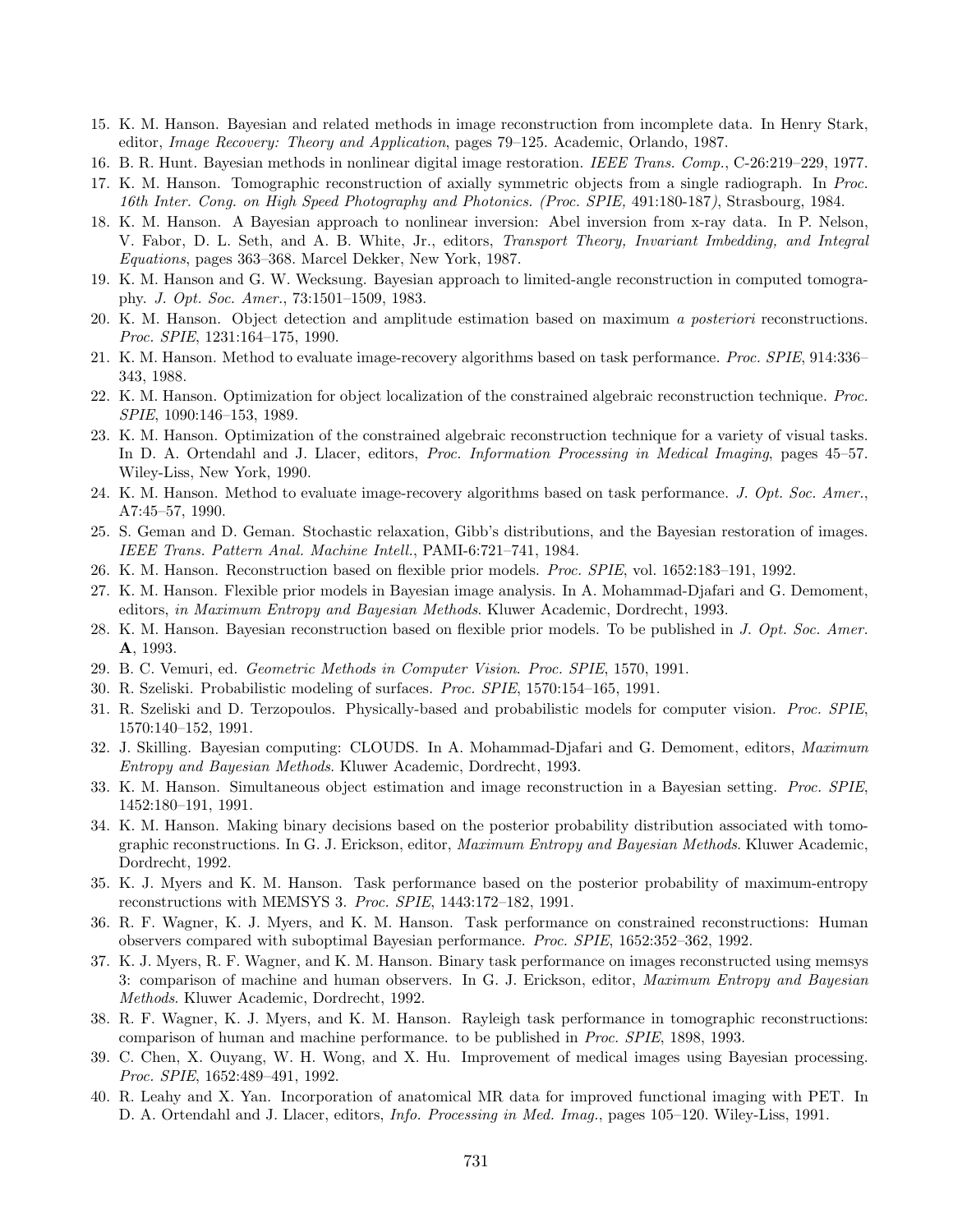- 15. K. M. Hanson. Bayesian and related methods in image reconstruction from incomplete data. In Henry Stark, editor, *Image Recovery: Theory and Application*, pages 79–125. Academic, Orlando, 1987.
- 16. B. R. Hunt. Bayesian methods in nonlinear digital image restoration. *IEEE Trans. Comp.*, C-26:219–229, 1977.
- 17. K. M. Hanson. Tomographic reconstruction of axiallysymmetric objects from a single radiograph. In *Proc. 16th Inter. Cong. on High Speed Photography and Photonics. (Proc. SPIE,* 491:180-187*)*, Strasbourg, 1984.
- 18. K. M. Hanson. A Bayesian approach to nonlinear inversion: Abel inversion from x-ray data. In P. Nelson, V. Fabor, D. L. Seth, and A. B. White, Jr., editors, *Transport Theory, Invariant Imbedding, and Integral Equations*, pages 363–368. Marcel Dekker, New York, 1987.
- 19. K. M. Hanson and G. W. Wecksung. Bayesian approach to limited-angle reconstruction in computed tomography. *J. Opt. Soc. Amer.*, 73:1501–1509, 1983.
- 20. K. M. Hanson. Object detection and amplitude estimation based on maximum *a posteriori* reconstructions. *Proc. SPIE*, 1231:164–175, 1990.
- 21. K. M. Hanson. Method to evaluate image-recoveryalgorithms based on task performance. *Proc. SPIE*, 914:336– 343, 1988.
- 22. K. M. Hanson. Optimization for object localization of the constrained algebraic reconstruction technique. *Proc. SPIE*, 1090:146–153, 1989.
- 23. K. M. Hanson. Optimization of the constrained algebraic reconstruction technique for a varietyof visual tasks. In D. A. Ortendahl and J. Llacer, editors, *Proc. Information Processing in Medical Imaging*, pages 45–57. Wiley-Liss, New York, 1990.
- 24. K. M. Hanson. Method to evaluate image-recoveryalgorithms based on task performance. *J. Opt. Soc. Amer.*, A7:45–57, 1990.
- 25. S. Geman and D. Geman. Stochastic relaxation, Gibb's distributions, and the Bayesian restoration of images. *IEEE Trans. Pattern Anal. Machine Intell.*, PAMI-6:721–741, 1984.
- 26. K. M. Hanson. Reconstruction based on flexible prior models. *Proc. SPIE*, vol. 1652:183–191, 1992.
- 27. K. M. Hanson. Flexible prior models in Bayesian image analysis. In A. Mohammad-Djafari and G. Demoment, editors, *in Maximum Entropy and Bayesian Methods*. Kluwer Academic, Dordrecht, 1993.
- 28. K. M. Hanson. Bayesian reconstruction based on flexible prior models. To be published in *J. Opt. Soc. Amer.* **A**, 1993.
- 29. B. C. Vemuri, ed. *Geometric Methods in Computer Vision*. *Proc. SPIE*, 1570, 1991.
- 30. R. Szeliski. Probabilistic modeling of surfaces. *Proc. SPIE*, 1570:154–165, 1991.
- 31. R. Szeliski and D. Terzopoulos. Physically-based and probabilistic models for computer vision. *Proc. SPIE*, 1570:140–152, 1991.
- 32. J. Skilling. Bayesian computing: CLOUDS. In A. Mohammad-Djafari and G. Demoment, editors, *Maximum Entropy and Bayesian Methods*. Kluwer Academic, Dordrecht, 1993.
- 33. K. M. Hanson. Simultaneous object estimation and image reconstruction in a Bayesian setting. *Proc. SPIE*, 1452:180–191, 1991.
- 34. K. M. Hanson. Making binary decisions based on the posterior probability distribution associated with tomographic reconstructions. In G. J. Erickson, editor, *Maximum Entropy and Bayesian Methods*. Kluwer Academic, Dordrecht, 1992.
- 35. K. J. Myers and K. M. Hanson. Task performance based on the posterior probability of maximum-entropy reconstructions with MEMSYS 3. *Proc. SPIE*, 1443:172–182, 1991.
- 36. R. F. Wagner, K. J. Myers, and K. M. Hanson. Task performance on constrained reconstructions: Human observers compared with suboptimal Bayesian performance. *Proc. SPIE*, 1652:352–362, 1992.
- 37. K. J. Myers, R. F. Wagner, and K. M. Hanson. Binary task performance on images reconstructed using memsys 3: comparison of machine and human observers. In G. J. Erickson, editor, *Maximum Entropy and Bayesian Methods*. Kluwer Academic, Dordrecht, 1992.
- 38. R. F. Wagner, K. J. Myers, and K. M. Hanson. Rayleigh task performance in tomographic reconstructions: comparison of human and machine performance. to be published in *Proc. SPIE*, 1898, 1993.
- 39. C. Chen, X. Ouyang, W. H. Wong, and X. Hu. Improvement of medical images using Bayesian processing. *Proc. SPIE*, 1652:489–491, 1992.
- 40. R. Leahyand X. Yan. Incorporation of anatomical MR data for improved functional imaging with PET. In D. A. Ortendahl and J. Llacer, editors, *Info. Processing in Med. Imag.*, pages 105–120. Wiley-Liss, 1991.